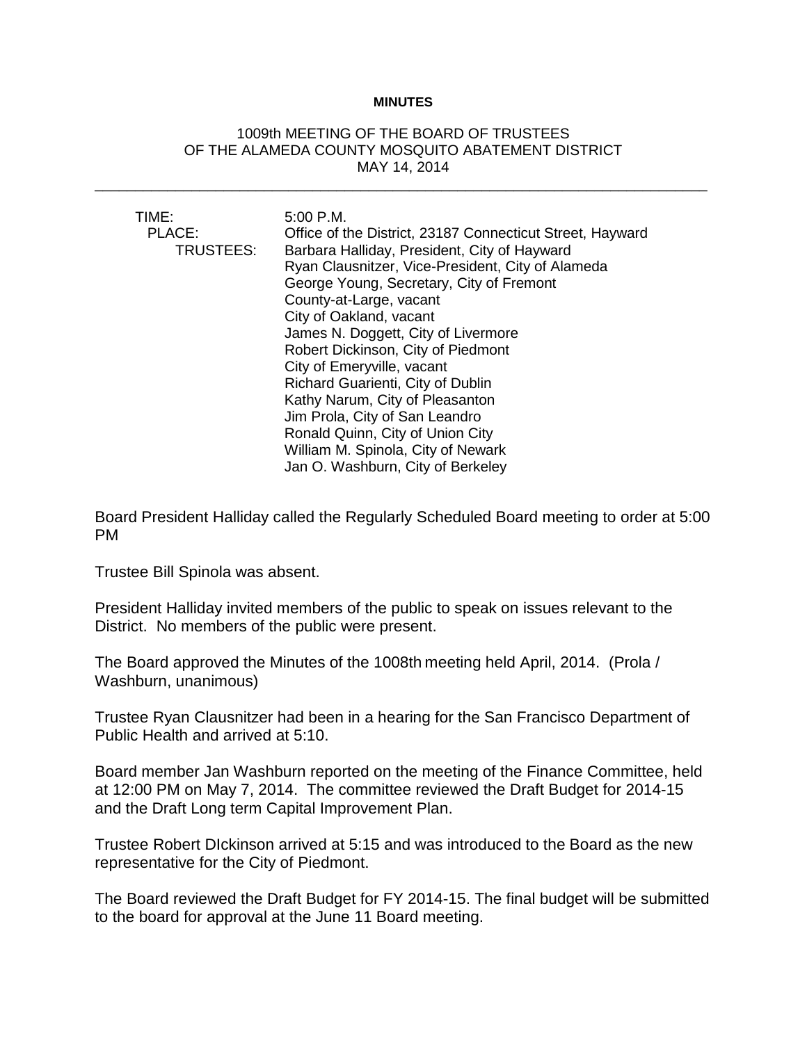## **MINUTES**

## 1009th MEETING OF THE BOARD OF TRUSTEES OF THE ALAMEDA COUNTY MOSQUITO ABATEMENT DISTRICT MAY 14, 2014

\_\_\_\_\_\_\_\_\_\_\_\_\_\_\_\_\_\_\_\_\_\_\_\_\_\_\_\_\_\_\_\_\_\_\_\_\_\_\_\_\_\_\_\_\_\_\_\_\_\_\_\_\_\_\_\_\_\_\_\_\_\_\_\_\_\_\_\_\_\_\_\_\_\_\_\_

| TIME:<br>PLACE:<br>TRUSTEES: | 5:00 P.M.<br>Office of the District, 23187 Connecticut Street, Hayward<br>Barbara Halliday, President, City of Hayward<br>Ryan Clausnitzer, Vice-President, City of Alameda<br>George Young, Secretary, City of Fremont<br>County-at-Large, vacant<br>City of Oakland, vacant<br>James N. Doggett, City of Livermore<br>Robert Dickinson, City of Piedmont |
|------------------------------|------------------------------------------------------------------------------------------------------------------------------------------------------------------------------------------------------------------------------------------------------------------------------------------------------------------------------------------------------------|
|                              | Richard Guarienti, City of Dublin<br>Kathy Narum, City of Pleasanton                                                                                                                                                                                                                                                                                       |
|                              | Jim Prola, City of San Leandro                                                                                                                                                                                                                                                                                                                             |
|                              | Ronald Quinn, City of Union City                                                                                                                                                                                                                                                                                                                           |
|                              | William M. Spinola, City of Newark                                                                                                                                                                                                                                                                                                                         |
|                              | Jan O. Washburn, City of Berkeley                                                                                                                                                                                                                                                                                                                          |

Board President Halliday called the Regularly Scheduled Board meeting to order at 5:00 PM

Trustee Bill Spinola was absent.

President Halliday invited members of the public to speak on issues relevant to the District. No members of the public were present.

The Board approved the Minutes of the 1008th meeting held April, 2014. (Prola / Washburn, unanimous)

Trustee Ryan Clausnitzer had been in a hearing for the San Francisco Department of Public Health and arrived at 5:10.

Board member Jan Washburn reported on the meeting of the Finance Committee, held at 12:00 PM on May 7, 2014. The committee reviewed the Draft Budget for 2014-15 and the Draft Long term Capital Improvement Plan.

Trustee Robert DIckinson arrived at 5:15 and was introduced to the Board as the new representative for the City of Piedmont.

The Board reviewed the Draft Budget for FY 2014-15. The final budget will be submitted to the board for approval at the June 11 Board meeting.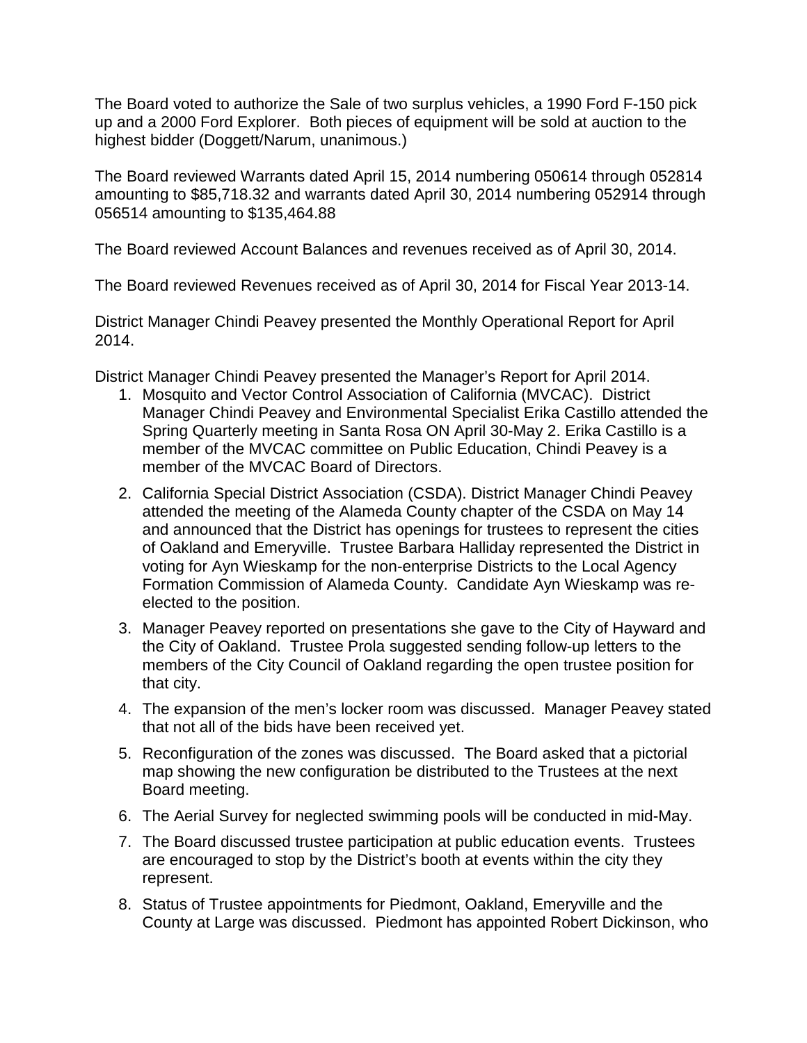The Board voted to authorize the Sale of two surplus vehicles, a 1990 Ford F-150 pick up and a 2000 Ford Explorer. Both pieces of equipment will be sold at auction to the highest bidder (Doggett/Narum, unanimous.)

The Board reviewed Warrants dated April 15, 2014 numbering 050614 through 052814 amounting to \$85,718.32 and warrants dated April 30, 2014 numbering 052914 through 056514 amounting to \$135,464.88

The Board reviewed Account Balances and revenues received as of April 30, 2014.

The Board reviewed Revenues received as of April 30, 2014 for Fiscal Year 2013-14.

District Manager Chindi Peavey presented the Monthly Operational Report for April 2014.

District Manager Chindi Peavey presented the Manager's Report for April 2014.

- 1. Mosquito and Vector Control Association of California (MVCAC). District Manager Chindi Peavey and Environmental Specialist Erika Castillo attended the Spring Quarterly meeting in Santa Rosa ON April 30-May 2. Erika Castillo is a member of the MVCAC committee on Public Education, Chindi Peavey is a member of the MVCAC Board of Directors.
- 2. California Special District Association (CSDA). District Manager Chindi Peavey attended the meeting of the Alameda County chapter of the CSDA on May 14 and announced that the District has openings for trustees to represent the cities of Oakland and Emeryville. Trustee Barbara Halliday represented the District in voting for Ayn Wieskamp for the non-enterprise Districts to the Local Agency Formation Commission of Alameda County. Candidate Ayn Wieskamp was reelected to the position.
- 3. Manager Peavey reported on presentations she gave to the City of Hayward and the City of Oakland. Trustee Prola suggested sending follow-up letters to the members of the City Council of Oakland regarding the open trustee position for that city.
- 4. The expansion of the men's locker room was discussed. Manager Peavey stated that not all of the bids have been received yet.
- 5. Reconfiguration of the zones was discussed. The Board asked that a pictorial map showing the new configuration be distributed to the Trustees at the next Board meeting.
- 6. The Aerial Survey for neglected swimming pools will be conducted in mid-May.
- 7. The Board discussed trustee participation at public education events. Trustees are encouraged to stop by the District's booth at events within the city they represent.
- 8. Status of Trustee appointments for Piedmont, Oakland, Emeryville and the County at Large was discussed. Piedmont has appointed Robert Dickinson, who